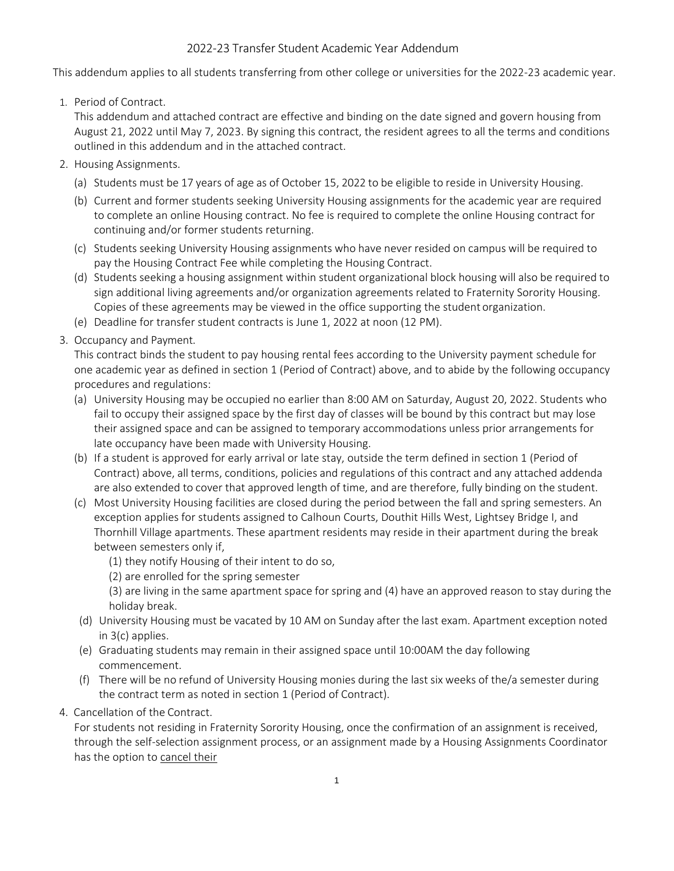## 2022-23 Transfer Student Academic Year Addendum

This addendum applies to all students transferring from other college or universities for the 2022-23 academic year.

1. Period of Contract.

This addendum and attached contract are effective and binding on the date signed and govern housing from August 21, 2022 until May 7, 2023. By signing this contract, the resident agrees to all the terms and conditions outlined in this addendum and in the attached contract.

- 2. Housing Assignments.
	- (a) Students must be 17 years of age as of October 15, 2022 to be eligible to reside in University Housing.
	- (b) Current and former students seeking University Housing assignments for the academic year are required to complete an online Housing contract. No fee is required to complete the online Housing contract for continuing and/or former students returning.
	- (c) Students seeking University Housing assignments who have never resided on campus will be required to pay the Housing Contract Fee while completing the Housing Contract.
	- (d) Students seeking a housing assignment within student organizational block housing will also be required to sign additional living agreements and/or organization agreements related to Fraternity Sorority Housing. Copies of these agreements may be viewed in the office supporting the student organization.
	- (e) Deadline for transfer student contracts is June 1, 2022 at noon (12 PM).
- 3. Occupancy and Payment.

This contract binds the student to pay housing rental fees according to the University payment schedule for one academic year as defined in section 1 (Period of Contract) above, and to abide by the following occupancy procedures and regulations:

- (a) University Housing may be occupied no earlier than 8:00 AM on Saturday, August 20, 2022. Students who fail to occupy their assigned space by the first day of classes will be bound by this contract but may lose their assigned space and can be assigned to temporary accommodations unless prior arrangements for late occupancy have been made with University Housing.
- (b) If a student is approved for early arrival or late stay, outside the term defined in section 1 (Period of Contract) above, all terms, conditions, policies and regulations of this contract and any attached addenda are also extended to cover that approved length of time, and are therefore, fully binding on the student.
- (c) Most University Housing facilities are closed during the period between the fall and spring semesters. An exception applies for students assigned to Calhoun Courts, Douthit Hills West, Lightsey Bridge I, and Thornhill Village apartments. These apartment residents may reside in their apartment during the break between semesters only if,
	- (1) they notify Housing of their intent to do so,
	- (2) are enrolled for the spring semester

(3) are living in the same apartment space for spring and (4) have an approved reason to stay during the holiday break.

- (d) University Housing must be vacated by 10 AM on Sunday after the last exam. Apartment exception noted in 3(c) applies.
- (e) Graduating students may remain in their assigned space until 10:00AM the day following commencement.
- (f) There will be no refund of University Housing monies during the last six weeks of the/a semester during the contract term as noted in section 1 (Period of Contract).
- 4. Cancellation of the Contract.

For students not residing in Fraternity Sorority Housing, once the confirmation of an assignment is received, through the self-selection assignment process, or an assignment made by a Housing Assignments Coordinator has the option to cancel their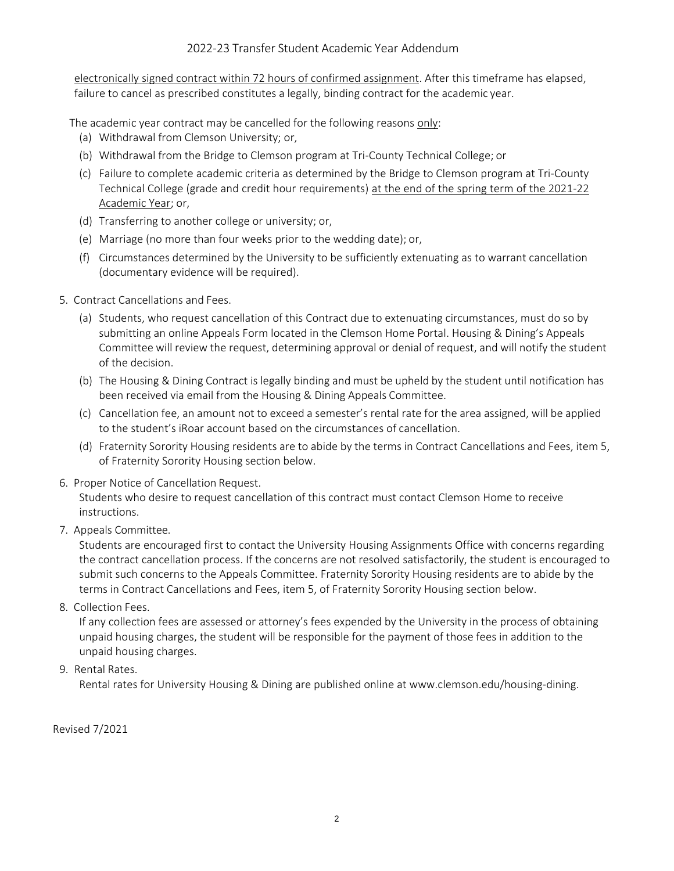electronically signed contract within 72 hours of confirmed assignment. After this timeframe has elapsed, failure to cancel as prescribed constitutes a legally, binding contract for the academic year.

The academic year contract may be cancelled for the following reasons only:

- (a) Withdrawal from Clemson University; or,
- (b) Withdrawal from the Bridge to Clemson program at Tri-County Technical College; or
- (c) Failure to complete academic criteria as determined by the Bridge to Clemson program at Tri-County Technical College (grade and credit hour requirements) at the end of the spring term of the 2021-22 Academic Year; or,
- (d) Transferring to another college or university; or,
- (e) Marriage (no more than four weeks prior to the wedding date); or,
- (f) Circumstances determined by the University to be sufficiently extenuating as to warrant cancellation (documentary evidence will be required).
- 5. Contract Cancellations and Fees.
	- (a) Students, who request cancellation of this Contract due to extenuating circumstances, must do so by submitting an online Appeals Form located in the Clemson Home Portal. Housing & Dining's Appeals Committee will review the request, determining approval or denial of request, and will notify the student of the decision.
	- (b) The Housing & Dining Contract is legally binding and must be upheld by the student until notification has been received via email from the Housing & Dining Appeals Committee.
	- (c) Cancellation fee, an amount not to exceed a semester's rental rate for the area assigned, will be applied to the student's iRoar account based on the circumstances of cancellation.
	- (d) Fraternity Sorority Housing residents are to abide by the terms in Contract Cancellations and Fees, item 5, of Fraternity Sorority Housing section below.
- 6. Proper Notice of Cancellation Request.

Students who desire to request cancellation of this contract must contact Clemson Home to receive instructions.

7. Appeals Committee.

Students are encouraged first to contact the University Housing Assignments Office with concerns regarding the contract cancellation process. If the concerns are not resolved satisfactorily, the student is encouraged to submit such concerns to the Appeals Committee. Fraternity Sorority Housing residents are to abide by the terms in Contract Cancellations and Fees, item 5, of Fraternity Sorority Housing section below.

8. Collection Fees.

If any collection fees are assessed or attorney's fees expended by the University in the process of obtaining unpaid housing charges, the student will be responsible for the payment of those fees in addition to the unpaid housing charges.

## 9. Rental Rates.

Rental rates for University Housing & Dining are published online at [www.clemson.edu/housing-dining.](http://www.clemson.edu/housing-dining)

Revised 7/2021